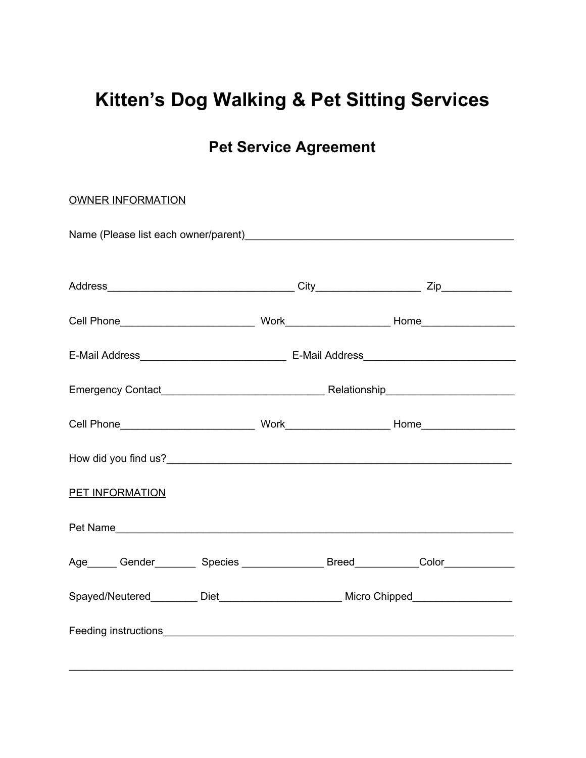# **Kitten's Dog Walking & Pet Sitting Services**

# **Pet Service Agreement**

| <b>OWNER INFORMATION</b>                                                                                                                                                                                                       |  |  |  |
|--------------------------------------------------------------------------------------------------------------------------------------------------------------------------------------------------------------------------------|--|--|--|
|                                                                                                                                                                                                                                |  |  |  |
|                                                                                                                                                                                                                                |  |  |  |
|                                                                                                                                                                                                                                |  |  |  |
|                                                                                                                                                                                                                                |  |  |  |
|                                                                                                                                                                                                                                |  |  |  |
|                                                                                                                                                                                                                                |  |  |  |
|                                                                                                                                                                                                                                |  |  |  |
| <b>PET INFORMATION</b>                                                                                                                                                                                                         |  |  |  |
| Pet Name and the contract of the contract of the contract of the contract of the contract of the contract of the contract of the contract of the contract of the contract of the contract of the contract of the contract of t |  |  |  |
| Age______ Gender_________ Species ________________ Breed____________Color_____________                                                                                                                                         |  |  |  |
| Spayed/Neutered_________ Diet_______________________ Micro Chipped______________                                                                                                                                               |  |  |  |
|                                                                                                                                                                                                                                |  |  |  |
|                                                                                                                                                                                                                                |  |  |  |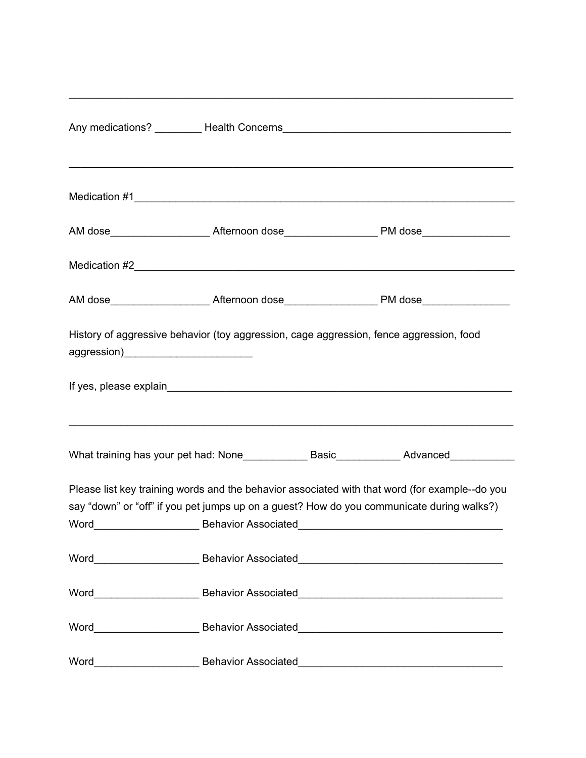| History of aggressive behavior (toy aggression, cage aggression, fence aggression, food |                                                                                                                                                                                             |
|-----------------------------------------------------------------------------------------|---------------------------------------------------------------------------------------------------------------------------------------------------------------------------------------------|
|                                                                                         |                                                                                                                                                                                             |
|                                                                                         | ,我们也不能在这里的人,我们也不能在这里的人,我们也不能在这里的人,我们也不能在这里的人,我们也不能在这里的人,我们也不能在这里的人,我们也不能在这里的人,我们也                                                                                                           |
|                                                                                         | Please list key training words and the behavior associated with that word (for example--do you<br>say "down" or "off" if you pet jumps up on a guest? How do you communicate during walks?) |
|                                                                                         |                                                                                                                                                                                             |
|                                                                                         |                                                                                                                                                                                             |
|                                                                                         |                                                                                                                                                                                             |
|                                                                                         |                                                                                                                                                                                             |
|                                                                                         |                                                                                                                                                                                             |

\_\_\_\_\_\_\_\_\_\_\_\_\_\_\_\_\_\_\_\_\_\_\_\_\_\_\_\_\_\_\_\_\_\_\_\_\_\_\_\_\_\_\_\_\_\_\_\_\_\_\_\_\_\_\_\_\_\_\_\_\_\_\_\_\_\_\_\_\_\_\_\_\_\_\_\_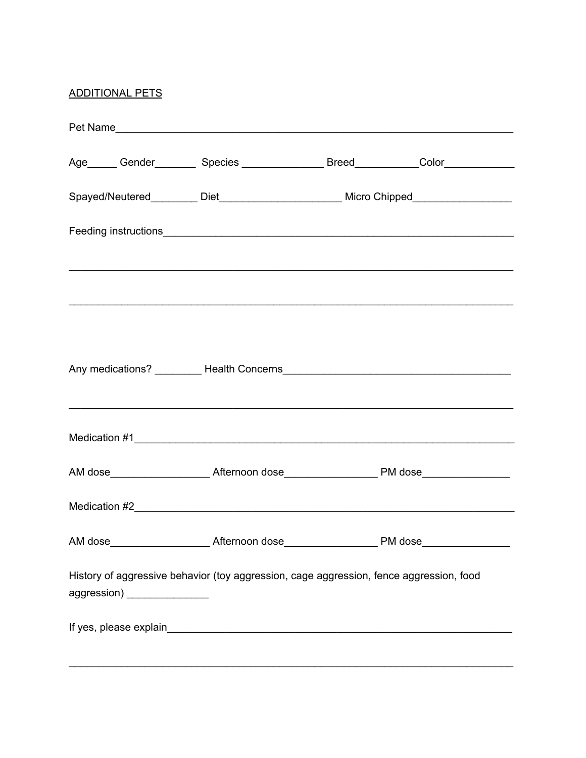## **ADDITIONAL PETS**

|  |                              | Age______ Gender__________ Species ________________ Breed____________Color_____________ |  |  |  |
|--|------------------------------|-----------------------------------------------------------------------------------------|--|--|--|
|  |                              | Spayed/Neutered_________ Diet_________________________ Micro Chipped_____________       |  |  |  |
|  |                              |                                                                                         |  |  |  |
|  |                              |                                                                                         |  |  |  |
|  |                              |                                                                                         |  |  |  |
|  |                              | ,我们也不能在这里的人,我们也不能在这里的人,我们也不能在这里的人,我们也不能在这里的人,我们也不能在这里的人,我们也不能在这里的人,我们也不能在这里的人,我们也       |  |  |  |
|  |                              |                                                                                         |  |  |  |
|  |                              |                                                                                         |  |  |  |
|  |                              |                                                                                         |  |  |  |
|  |                              |                                                                                         |  |  |  |
|  | aggression) ________________ | History of aggressive behavior (toy aggression, cage aggression, fence aggression, food |  |  |  |
|  |                              |                                                                                         |  |  |  |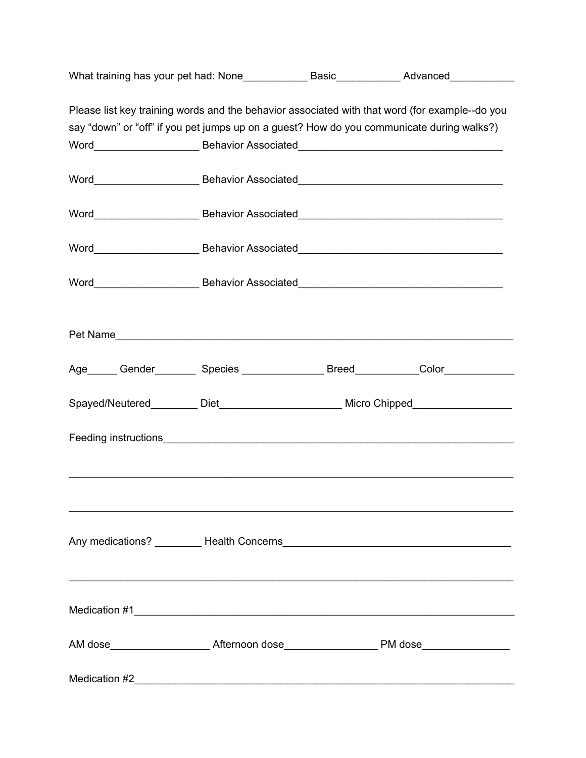|  |  | Please list key training words and the behavior associated with that word (for example--do you |
|--|--|------------------------------------------------------------------------------------------------|
|  |  | say "down" or "off" if you pet jumps up on a guest? How do you communicate during walks?)      |
|  |  |                                                                                                |
|  |  |                                                                                                |
|  |  |                                                                                                |
|  |  |                                                                                                |
|  |  |                                                                                                |
|  |  | Word_____________________________Behavior Associated_____________________________              |
|  |  |                                                                                                |
|  |  |                                                                                                |
|  |  | Age______ Gender_________ Species ________________ Breed____________Color_____________         |
|  |  | Spayed/Neutered__________ Diet___________________________ Micro Chipped________________        |
|  |  |                                                                                                |
|  |  |                                                                                                |
|  |  |                                                                                                |
|  |  |                                                                                                |
|  |  |                                                                                                |
|  |  |                                                                                                |
|  |  |                                                                                                |
|  |  |                                                                                                |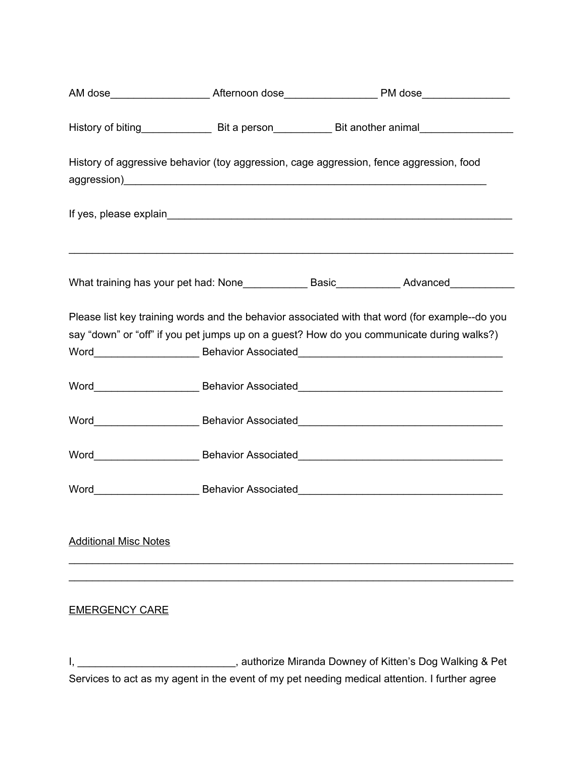|                              | AM dose_______________________Afternoon dose__________________________PM dose______________________           |  |  |
|------------------------------|---------------------------------------------------------------------------------------------------------------|--|--|
|                              | History of biting________________________Bit a person_________________Bit another animal_____________________ |  |  |
|                              | History of aggressive behavior (toy aggression, cage aggression, fence aggression, food                       |  |  |
|                              |                                                                                                               |  |  |
|                              | ,我们也不能在这里的人,我们也不能在这里的人,我们也不能在这里的人,我们也不能在这里的人,我们也不能在这里的人,我们也不能在这里的人,我们也不能在这里的人,我们也                             |  |  |
|                              | Please list key training words and the behavior associated with that word (for example--do you                |  |  |
|                              | say "down" or "off" if you pet jumps up on a guest? How do you communicate during walks?)                     |  |  |
|                              |                                                                                                               |  |  |
|                              |                                                                                                               |  |  |
|                              |                                                                                                               |  |  |
|                              | Word_____________________________Behavior Associated_____________________________                             |  |  |
|                              | Word_____________________________Behavior Associated____________________________                              |  |  |
| <b>Additional Misc Notes</b> |                                                                                                               |  |  |
| <b>EMERGENCY CARE</b>        |                                                                                                               |  |  |

I, \_\_\_\_\_\_\_\_\_\_\_\_\_\_\_\_\_\_\_\_\_\_\_\_\_\_\_, authorize Miranda Downey of Kitten's Dog Walking & Pet Services to act as my agent in the event of my pet needing medical attention. I further agree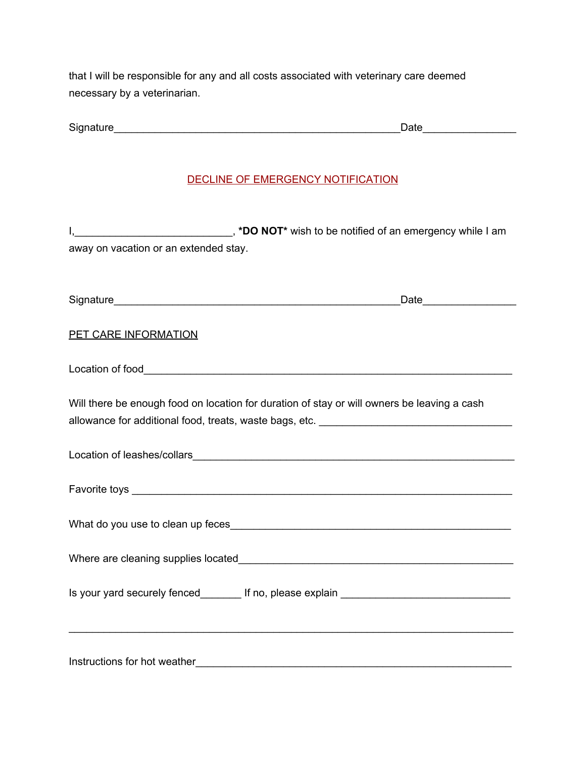that I will be responsible for any and all costs associated with veterinary care deemed necessary by a veterinarian.

#### DECLINE OF EMERGENCY NOTIFICATION

I, **I** is a subset of an emergency while I am  $\blacksquare$ , **\*DO NOT**\* wish to be notified of an emergency while I am away on vacation or an extended stay.

Signature **Example 20** and the set of the set of the set of the set of the set of the set of the set of the set of the set of the set of the set of the set of the set of the set of the set of the set of the set of the set

PET CARE INFORMATION

Location of food with the set of  $\sim$ 

Will there be enough food on location for duration of stay or will owners be leaving a cash allowance for additional food, treats, waste bags, etc.

Location of leashes/collars\_\_\_\_\_\_\_\_\_\_\_\_\_\_\_\_\_\_\_\_\_\_\_\_\_\_\_\_\_\_\_\_\_\_\_\_\_\_\_\_\_\_\_\_\_\_\_\_\_\_\_\_\_\_\_

Favorite toys

What do you use to clean up feces

Where are cleaning supplies located\_\_\_\_\_\_\_\_\_\_\_\_\_\_\_\_\_\_\_\_\_\_\_\_\_\_\_\_\_\_\_\_\_\_\_\_\_\_\_\_\_\_\_\_\_\_\_

\_\_\_\_\_\_\_\_\_\_\_\_\_\_\_\_\_\_\_\_\_\_\_\_\_\_\_\_\_\_\_\_\_\_\_\_\_\_\_\_\_\_\_\_\_\_\_\_\_\_\_\_\_\_\_\_\_\_\_\_\_\_\_\_\_\_\_\_\_\_\_\_\_\_\_\_

Is your yard securely fenced lif no, please explain **If your yard securely** fenced

Instructions for hot weather\_\_\_\_\_\_\_\_\_\_\_\_\_\_\_\_\_\_\_\_\_\_\_\_\_\_\_\_\_\_\_\_\_\_\_\_\_\_\_\_\_\_\_\_\_\_\_\_\_\_\_\_\_\_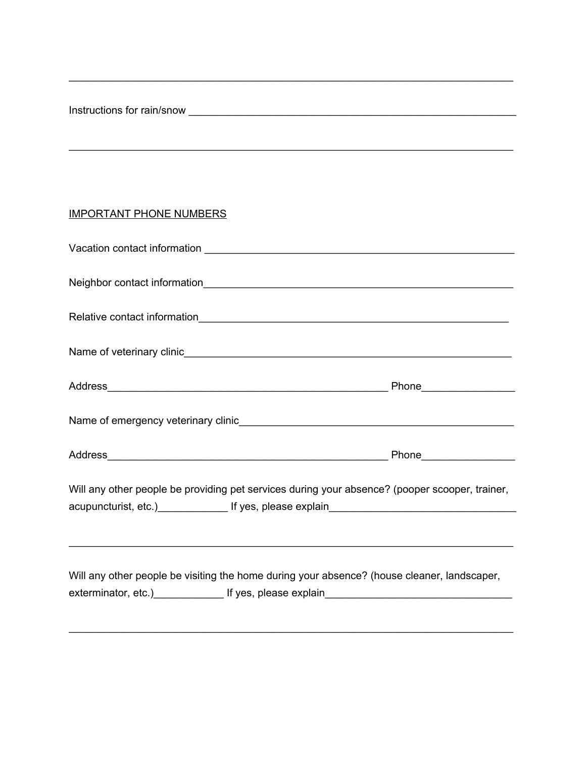Instructions for rain/snow \_\_\_\_\_\_\_\_\_\_\_\_\_\_\_\_\_\_\_\_\_\_\_\_\_\_\_\_\_\_\_\_\_\_\_\_\_\_\_\_\_\_\_\_\_\_\_\_\_\_\_\_\_\_\_\_

### IMPORTANT PHONE NUMBERS

| Will any other people be providing pet services during your absence? (pooper scooper, trainer,<br>acupuncturist, etc.) The Manuscript of the Security of the Security of the Security of the Security of the Security of the Security of the Security of the Security of the Security of the Security of the Security of the Sec |  |  |  |
|----------------------------------------------------------------------------------------------------------------------------------------------------------------------------------------------------------------------------------------------------------------------------------------------------------------------------------|--|--|--|
| Will any other people be visiting the home during your absence? (house cleaner, landscaper,<br>exterminator, etc.) Figures, please explain Figures 2014 12:00 12:00 MHz                                                                                                                                                          |  |  |  |
|                                                                                                                                                                                                                                                                                                                                  |  |  |  |

\_\_\_\_\_\_\_\_\_\_\_\_\_\_\_\_\_\_\_\_\_\_\_\_\_\_\_\_\_\_\_\_\_\_\_\_\_\_\_\_\_\_\_\_\_\_\_\_\_\_\_\_\_\_\_\_\_\_\_\_\_\_\_\_\_\_\_\_\_\_\_\_\_\_\_\_

\_\_\_\_\_\_\_\_\_\_\_\_\_\_\_\_\_\_\_\_\_\_\_\_\_\_\_\_\_\_\_\_\_\_\_\_\_\_\_\_\_\_\_\_\_\_\_\_\_\_\_\_\_\_\_\_\_\_\_\_\_\_\_\_\_\_\_\_\_\_\_\_\_\_\_\_

\_\_\_\_\_\_\_\_\_\_\_\_\_\_\_\_\_\_\_\_\_\_\_\_\_\_\_\_\_\_\_\_\_\_\_\_\_\_\_\_\_\_\_\_\_\_\_\_\_\_\_\_\_\_\_\_\_\_\_\_\_\_\_\_\_\_\_\_\_\_\_\_\_\_\_\_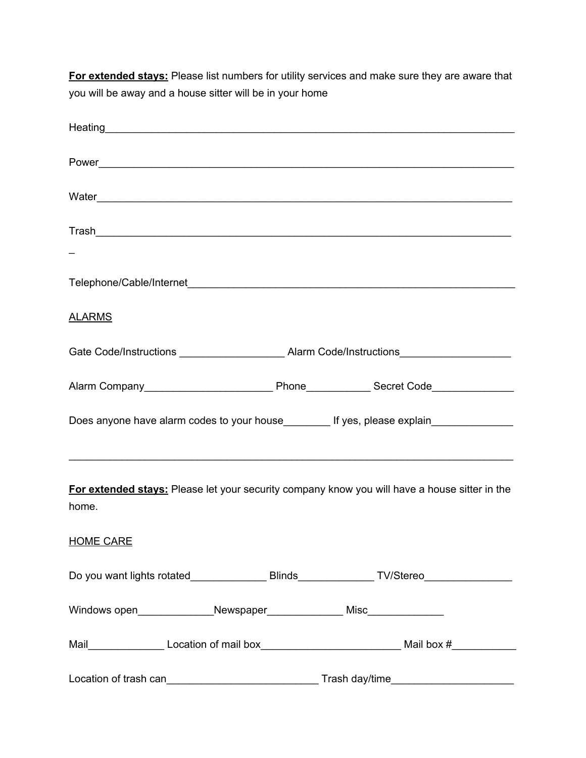**For extended stays:** Please list numbers for utility services and make sure they are aware that you will be away and a house sitter will be in your home

| Heating <b>Experimental Community</b> Contract on the Community Community Community Community Community Community Community Community Community Community Community Community Community Community Community Community Community Com |  |  |
|-------------------------------------------------------------------------------------------------------------------------------------------------------------------------------------------------------------------------------------|--|--|
|                                                                                                                                                                                                                                     |  |  |
|                                                                                                                                                                                                                                     |  |  |
|                                                                                                                                                                                                                                     |  |  |
|                                                                                                                                                                                                                                     |  |  |
|                                                                                                                                                                                                                                     |  |  |
| <b>ALARMS</b>                                                                                                                                                                                                                       |  |  |
| Gate Code/Instructions ___________________________Alarm Code/Instructions__________________________                                                                                                                                 |  |  |
|                                                                                                                                                                                                                                     |  |  |
| Does anyone have alarm codes to your house____________ If yes, please explain______________________                                                                                                                                 |  |  |
| For extended stays: Please let your security company know you will have a house sitter in the<br>home.                                                                                                                              |  |  |
| <b>HOME CARE</b>                                                                                                                                                                                                                    |  |  |
| Do you want lights rotated____________________Blinds_________________TV/Stereo_____________________                                                                                                                                 |  |  |
|                                                                                                                                                                                                                                     |  |  |
|                                                                                                                                                                                                                                     |  |  |
|                                                                                                                                                                                                                                     |  |  |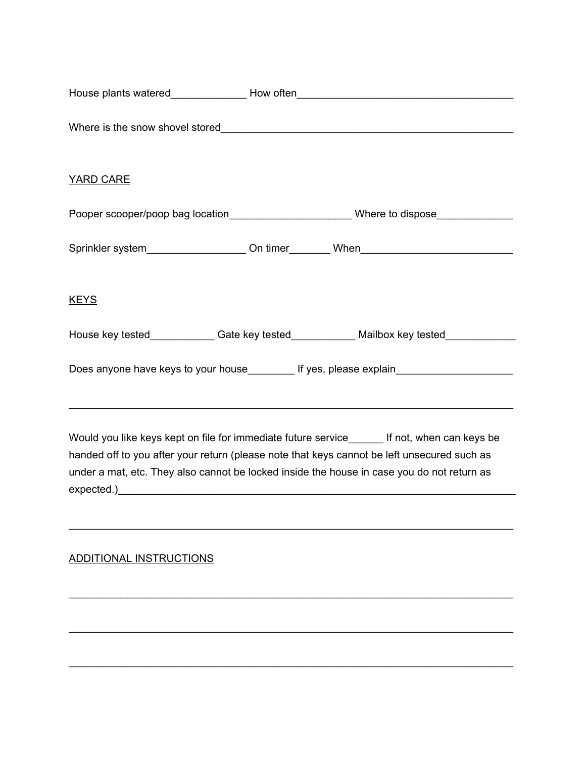|                         | House plants watered_____________________How often_______________________________                                                                                                                                                                                                         |
|-------------------------|-------------------------------------------------------------------------------------------------------------------------------------------------------------------------------------------------------------------------------------------------------------------------------------------|
|                         |                                                                                                                                                                                                                                                                                           |
| <b>YARD CARE</b>        |                                                                                                                                                                                                                                                                                           |
|                         | Pooper scooper/poop bag location___________________________Where to dispose_________________________                                                                                                                                                                                      |
|                         | Sprinkler system______________________On timer_________When_____________________                                                                                                                                                                                                          |
| <u>KEYS</u>             |                                                                                                                                                                                                                                                                                           |
|                         | House key tested_____________Gate key tested_____________Mailbox key tested____________                                                                                                                                                                                                   |
|                         | Does anyone have keys to your house__________ If yes, please explain___________________                                                                                                                                                                                                   |
|                         | Would you like keys kept on file for immediate future service______ If not, when can keys be<br>handed off to you after your return (please note that keys cannot be left unsecured such as<br>under a mat, etc. They also cannot be locked inside the house in case you do not return as |
| ADDITIONAL INSTRUCTIONS |                                                                                                                                                                                                                                                                                           |
|                         |                                                                                                                                                                                                                                                                                           |
|                         |                                                                                                                                                                                                                                                                                           |
|                         |                                                                                                                                                                                                                                                                                           |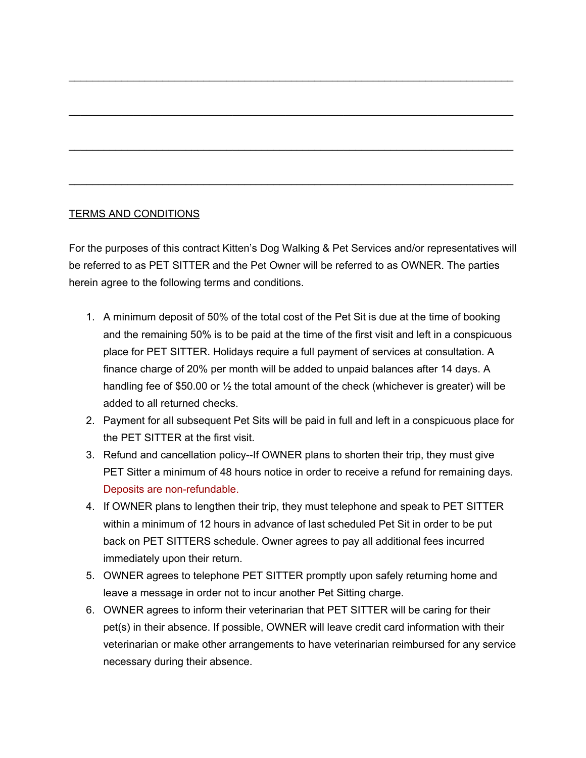#### TERMS AND CONDITIONS

For the purposes of this contract Kitten's Dog Walking & Pet Services and/or representatives will be referred to as PET SITTER and the Pet Owner will be referred to as OWNER. The parties herein agree to the following terms and conditions.

\_\_\_\_\_\_\_\_\_\_\_\_\_\_\_\_\_\_\_\_\_\_\_\_\_\_\_\_\_\_\_\_\_\_\_\_\_\_\_\_\_\_\_\_\_\_\_\_\_\_\_\_\_\_\_\_\_\_\_\_\_\_\_\_\_\_\_\_\_\_\_\_\_\_\_\_

\_\_\_\_\_\_\_\_\_\_\_\_\_\_\_\_\_\_\_\_\_\_\_\_\_\_\_\_\_\_\_\_\_\_\_\_\_\_\_\_\_\_\_\_\_\_\_\_\_\_\_\_\_\_\_\_\_\_\_\_\_\_\_\_\_\_\_\_\_\_\_\_\_\_\_\_

\_\_\_\_\_\_\_\_\_\_\_\_\_\_\_\_\_\_\_\_\_\_\_\_\_\_\_\_\_\_\_\_\_\_\_\_\_\_\_\_\_\_\_\_\_\_\_\_\_\_\_\_\_\_\_\_\_\_\_\_\_\_\_\_\_\_\_\_\_\_\_\_\_\_\_\_

\_\_\_\_\_\_\_\_\_\_\_\_\_\_\_\_\_\_\_\_\_\_\_\_\_\_\_\_\_\_\_\_\_\_\_\_\_\_\_\_\_\_\_\_\_\_\_\_\_\_\_\_\_\_\_\_\_\_\_\_\_\_\_\_\_\_\_\_\_\_\_\_\_\_\_\_

- 1. A minimum deposit of 50% of the total cost of the Pet Sit is due at the time of booking and the remaining 50% is to be paid at the time of the first visit and left in a conspicuous place for PET SITTER. Holidays require a full payment of services at consultation. A finance charge of 20% per month will be added to unpaid balances after 14 days. A handling fee of \$50.00 or ½ the total amount of the check (whichever is greater) will be added to all returned checks.
- 2. Payment for all subsequent Pet Sits will be paid in full and left in a conspicuous place for the PET SITTER at the first visit.
- 3. Refund and cancellation policy--If OWNER plans to shorten their trip, they must give PET Sitter a minimum of 48 hours notice in order to receive a refund for remaining days. Deposits are non-refundable.
- 4. If OWNER plans to lengthen their trip, they must telephone and speak to PET SITTER within a minimum of 12 hours in advance of last scheduled Pet Sit in order to be put back on PET SITTERS schedule. Owner agrees to pay all additional fees incurred immediately upon their return.
- 5. OWNER agrees to telephone PET SITTER promptly upon safely returning home and leave a message in order not to incur another Pet Sitting charge.
- 6. OWNER agrees to inform their veterinarian that PET SITTER will be caring for their pet(s) in their absence. If possible, OWNER will leave credit card information with their veterinarian or make other arrangements to have veterinarian reimbursed for any service necessary during their absence.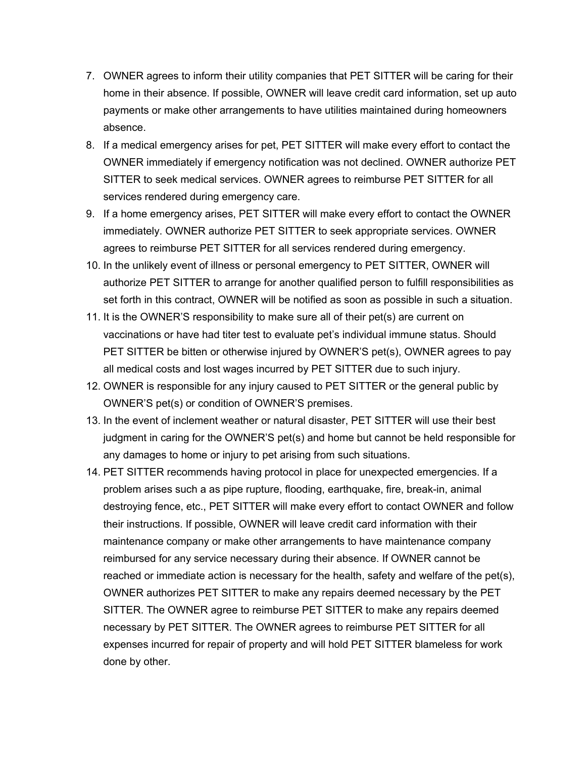- 7. OWNER agrees to inform their utility companies that PET SITTER will be caring for their home in their absence. If possible, OWNER will leave credit card information, set up auto payments or make other arrangements to have utilities maintained during homeowners absence.
- 8. If a medical emergency arises for pet, PET SITTER will make every effort to contact the OWNER immediately if emergency notification was not declined. OWNER authorize PET SITTER to seek medical services. OWNER agrees to reimburse PET SITTER for all services rendered during emergency care.
- 9. If a home emergency arises, PET SITTER will make every effort to contact the OWNER immediately. OWNER authorize PET SITTER to seek appropriate services. OWNER agrees to reimburse PET SITTER for all services rendered during emergency.
- 10. In the unlikely event of illness or personal emergency to PET SITTER, OWNER will authorize PET SITTER to arrange for another qualified person to fulfill responsibilities as set forth in this contract, OWNER will be notified as soon as possible in such a situation.
- 11. It is the OWNER'S responsibility to make sure all of their pet(s) are current on vaccinations or have had titer test to evaluate pet's individual immune status. Should PET SITTER be bitten or otherwise injured by OWNER'S pet(s), OWNER agrees to pay all medical costs and lost wages incurred by PET SITTER due to such injury.
- 12. OWNER is responsible for any injury caused to PET SITTER or the general public by OWNER'S pet(s) or condition of OWNER'S premises.
- 13. In the event of inclement weather or natural disaster, PET SITTER will use their best judgment in caring for the OWNER'S pet(s) and home but cannot be held responsible for any damages to home or injury to pet arising from such situations.
- 14. PET SITTER recommends having protocol in place for unexpected emergencies. If a problem arises such a as pipe rupture, flooding, earthquake, fire, break-in, animal destroying fence, etc., PET SITTER will make every effort to contact OWNER and follow their instructions. If possible, OWNER will leave credit card information with their maintenance company or make other arrangements to have maintenance company reimbursed for any service necessary during their absence. If OWNER cannot be reached or immediate action is necessary for the health, safety and welfare of the pet(s), OWNER authorizes PET SITTER to make any repairs deemed necessary by the PET SITTER. The OWNER agree to reimburse PET SITTER to make any repairs deemed necessary by PET SITTER. The OWNER agrees to reimburse PET SITTER for all expenses incurred for repair of property and will hold PET SITTER blameless for work done by other.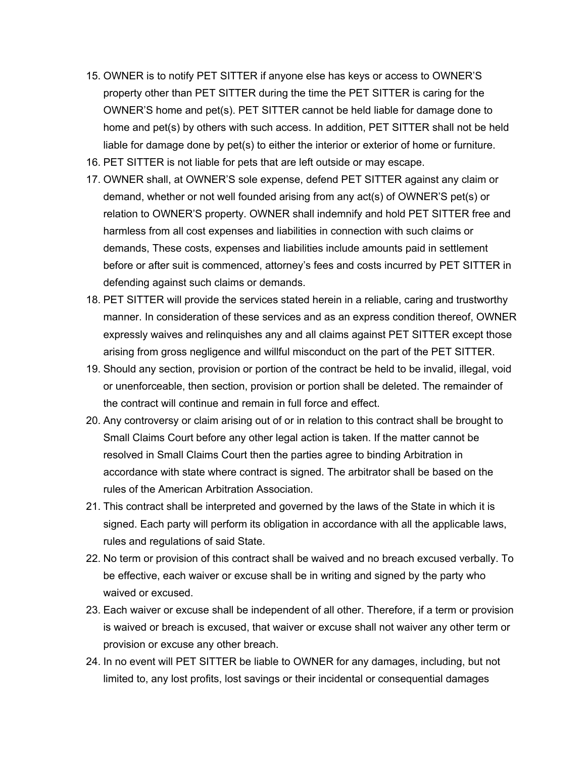- 15. OWNER is to notify PET SITTER if anyone else has keys or access to OWNER'S property other than PET SITTER during the time the PET SITTER is caring for the OWNER'S home and pet(s). PET SITTER cannot be held liable for damage done to home and pet(s) by others with such access. In addition, PET SITTER shall not be held liable for damage done by pet(s) to either the interior or exterior of home or furniture.
- 16. PET SITTER is not liable for pets that are left outside or may escape.
- 17. OWNER shall, at OWNER'S sole expense, defend PET SITTER against any claim or demand, whether or not well founded arising from any act(s) of OWNER'S pet(s) or relation to OWNER'S property. OWNER shall indemnify and hold PET SITTER free and harmless from all cost expenses and liabilities in connection with such claims or demands, These costs, expenses and liabilities include amounts paid in settlement before or after suit is commenced, attorney's fees and costs incurred by PET SITTER in defending against such claims or demands.
- 18. PET SITTER will provide the services stated herein in a reliable, caring and trustworthy manner. In consideration of these services and as an express condition thereof, OWNER expressly waives and relinquishes any and all claims against PET SITTER except those arising from gross negligence and willful misconduct on the part of the PET SITTER.
- 19. Should any section, provision or portion of the contract be held to be invalid, illegal, void or unenforceable, then section, provision or portion shall be deleted. The remainder of the contract will continue and remain in full force and effect.
- 20. Any controversy or claim arising out of or in relation to this contract shall be brought to Small Claims Court before any other legal action is taken. If the matter cannot be resolved in Small Claims Court then the parties agree to binding Arbitration in accordance with state where contract is signed. The arbitrator shall be based on the rules of the American Arbitration Association.
- 21. This contract shall be interpreted and governed by the laws of the State in which it is signed. Each party will perform its obligation in accordance with all the applicable laws, rules and regulations of said State.
- 22. No term or provision of this contract shall be waived and no breach excused verbally. To be effective, each waiver or excuse shall be in writing and signed by the party who waived or excused.
- 23. Each waiver or excuse shall be independent of all other. Therefore, if a term or provision is waived or breach is excused, that waiver or excuse shall not waiver any other term or provision or excuse any other breach.
- 24. In no event will PET SITTER be liable to OWNER for any damages, including, but not limited to, any lost profits, lost savings or their incidental or consequential damages